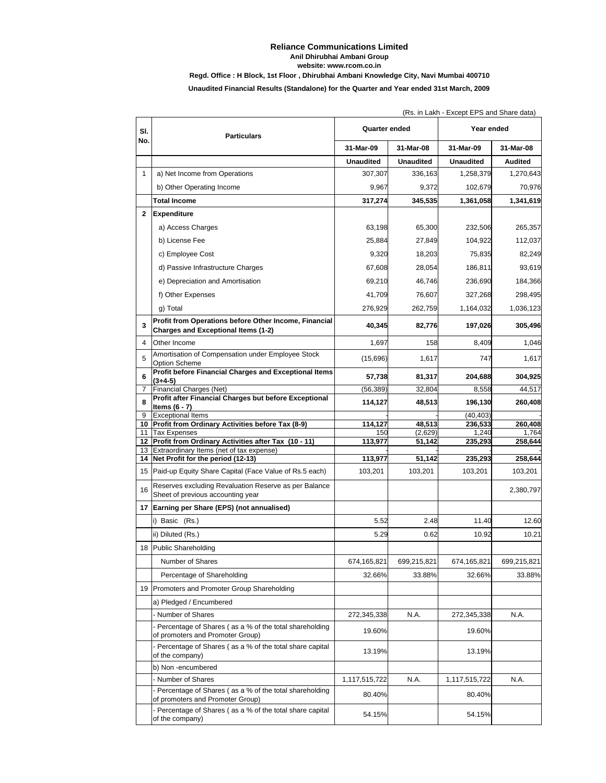## **Reliance Communications Limited Anil Dhirubhai Ambani Group Regd. Office : H Block, 1st Floor , Dhirubhai Ambani Knowledge City, Navi Mumbai 400710 website: www.rcom.co.in**

**Unaudited Financial Results (Standalone) for the Quarter and Year ended 31st March, 2009**

|              | (Rs. in Lakh - Except EPS and Share data)                                                           |                  |                   |                  |                  |  |  |  |
|--------------|-----------------------------------------------------------------------------------------------------|------------------|-------------------|------------------|------------------|--|--|--|
| SI.<br>No.   | <b>Particulars</b>                                                                                  | Quarter ended    |                   | Year ended       |                  |  |  |  |
|              |                                                                                                     | 31-Mar-09        | 31-Mar-08         | 31-Mar-09        | 31-Mar-08        |  |  |  |
|              |                                                                                                     | <b>Unaudited</b> | <b>Unaudited</b>  | <b>Unaudited</b> | <b>Audited</b>   |  |  |  |
| $\mathbf{1}$ | a) Net Income from Operations                                                                       | 307,307          | 336,163           | 1,258,379        | 1,270,643        |  |  |  |
|              | b) Other Operating Income                                                                           | 9,967            | 9,372             | 102,679          | 70,976           |  |  |  |
|              | <b>Total Income</b>                                                                                 | 317,274          | 345,535           | 1,361,058        | 1,341,619        |  |  |  |
| $\mathbf{2}$ | Expenditure                                                                                         |                  |                   |                  |                  |  |  |  |
|              | a) Access Charges                                                                                   | 63,198           | 65,300            | 232,506          | 265,357          |  |  |  |
|              | b) License Fee                                                                                      | 25,884           | 27,849            | 104,922          | 112,037          |  |  |  |
|              | c) Employee Cost                                                                                    | 9,320            | 18,203            | 75,835           | 82,249           |  |  |  |
|              | d) Passive Infrastructure Charges                                                                   | 67,608           | 28,054            | 186,811          | 93,619           |  |  |  |
|              | e) Depreciation and Amortisation                                                                    | 69,210           | 46,746            | 236,690          | 184,366          |  |  |  |
|              | f) Other Expenses                                                                                   | 41,709           | 76,607            | 327,268          | 298,495          |  |  |  |
|              | g) Total                                                                                            | 276,929          | 262,759           | 1,164,032        | 1,036,123        |  |  |  |
| 3            | Profit from Operations before Other Income, Financial<br><b>Charges and Exceptional Items (1-2)</b> | 40,345           | 82,776            | 197,026          | 305,496          |  |  |  |
| 4            | Other Income                                                                                        | 1,697            | 158               | 8,409            | 1,046            |  |  |  |
| 5            | Amortisation of Compensation under Employee Stock<br>Option Scheme                                  | (15,696)         | 1,617             | 747              | 1,617            |  |  |  |
| 6            | Profit before Financial Charges and Exceptional Items<br>(3+4-5)                                    | 57,738           | 81,317            | 204,688          | 304,925          |  |  |  |
| 7            | Financial Charges (Net)                                                                             | (56, 389)        | 32,804            | 8,558            | 44.517           |  |  |  |
| 8            | Profit after Financial Charges but before Exceptional<br>Items $(6 - 7)$                            | 114,127          | 48,513            | 196,130          | 260,408          |  |  |  |
| 9            | <b>Exceptional Items</b>                                                                            |                  |                   | (40, 403)        |                  |  |  |  |
| 11           | 10 Profit from Ordinary Activities before Tax (8-9)<br><b>Tax Expenses</b>                          | 114,127<br>150   | 48,513<br>(2,629) | 236,533<br>1,240 | 260,408<br>1,764 |  |  |  |
|              | 12 Profit from Ordinary Activities after Tax (10 - 11)                                              | 113,977          | 51,142            | 235,293          | 258,644          |  |  |  |
|              | 13 Extraordinary Items (net of tax expense)<br>14 Net Profit for the period (12-13)                 | 113,977          | 51,142            | 235,293          | 258,644          |  |  |  |
|              | 15 Paid-up Equity Share Capital (Face Value of Rs.5 each)                                           | 103,201          | 103,201           | 103,201          | 103,201          |  |  |  |
| 16           | Reserves excluding Revaluation Reserve as per Balance<br>Sheet of previous accounting year          |                  |                   |                  | 2,380,797        |  |  |  |
|              | 17 Earning per Share (EPS) (not annualised)                                                         |                  |                   |                  |                  |  |  |  |
|              | i) Basic (Rs.)                                                                                      | 5.52             | 2.48              | 11.40            | 12.60            |  |  |  |
|              | ii) Diluted (Rs.)                                                                                   | 5.29             | 0.62              | 10.92            | 10.21            |  |  |  |
|              | 18 Public Shareholding                                                                              |                  |                   |                  |                  |  |  |  |
|              | Number of Shares                                                                                    | 674,165,821      | 699,215,821       | 674,165,821      | 699,215,821      |  |  |  |
|              | Percentage of Shareholding                                                                          | 32.66%           | 33.88%            | 32.66%           | 33.88%           |  |  |  |
|              | 19 Promoters and Promoter Group Shareholding                                                        |                  |                   |                  |                  |  |  |  |
|              | a) Pledged / Encumbered                                                                             |                  |                   |                  |                  |  |  |  |
|              | Number of Shares                                                                                    | 272,345,338      | N.A.              | 272,345,338      | N.A.             |  |  |  |
|              | Percentage of Shares (as a % of the total shareholding<br>of promoters and Promoter Group)          | 19.60%           |                   | 19.60%           |                  |  |  |  |
|              | Percentage of Shares (as a % of the total share capital<br>of the company)                          | 13.19%           |                   | 13.19%           |                  |  |  |  |
|              | b) Non -encumbered                                                                                  |                  |                   |                  |                  |  |  |  |
|              | Number of Shares                                                                                    | 1,117,515,722    | N.A.              | 1,117,515,722    | N.A.             |  |  |  |
|              | Percentage of Shares (as a % of the total shareholding<br>of promoters and Promoter Group)          | 80.40%           |                   | 80.40%           |                  |  |  |  |
|              | - Percentage of Shares (as a % of the total share capital<br>of the company)                        | 54.15%           |                   | 54.15%           |                  |  |  |  |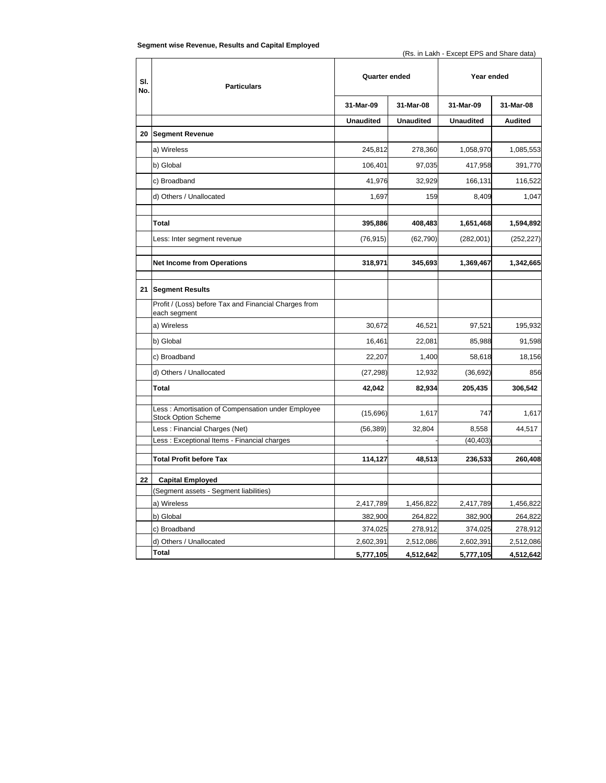| Segment wise Revenue, Results and Capital Employed |  |  |  |
|----------------------------------------------------|--|--|--|
|----------------------------------------------------|--|--|--|

| SI.<br>No. | <b>Particulars</b>                                                              | Quarter ended    |                  | Year ended       |            |
|------------|---------------------------------------------------------------------------------|------------------|------------------|------------------|------------|
|            |                                                                                 | 31-Mar-09        | 31-Mar-08        | 31-Mar-09        | 31-Mar-08  |
|            |                                                                                 | <b>Unaudited</b> | <b>Unaudited</b> | <b>Unaudited</b> | Audited    |
| 20         | <b>Segment Revenue</b>                                                          |                  |                  |                  |            |
|            | a) Wireless                                                                     | 245,812          | 278,360          | 1,058,970        | 1,085,553  |
|            | b) Global                                                                       | 106,401          | 97,035           | 417,958          | 391,770    |
|            | c) Broadband                                                                    | 41,976           | 32,929           | 166,131          | 116,522    |
|            | d) Others / Unallocated                                                         | 1,697            | 159              | 8,409            | 1,047      |
|            | Total                                                                           | 395,886          | 408,483          | 1,651,468        | 1,594,892  |
|            | Less: Inter segment revenue                                                     | (76, 915)        | (62, 790)        | (282,001)        | (252, 227) |
|            | <b>Net Income from Operations</b>                                               | 318,971          | 345,693          | 1,369,467        | 1,342,665  |
| 21         | <b>Segment Results</b>                                                          |                  |                  |                  |            |
|            | Profit / (Loss) before Tax and Financial Charges from<br>each segment           |                  |                  |                  |            |
|            | a) Wireless                                                                     | 30,672           | 46,521           | 97,521           | 195,932    |
|            | b) Global                                                                       | 16,461           | 22,081           | 85,988           | 91,598     |
|            | c) Broadband                                                                    | 22,207           | 1,400            | 58,618           | 18,156     |
|            | d) Others / Unallocated                                                         | (27, 298)        | 12,932           | (36, 692)        | 856        |
|            | Total                                                                           | 42,042           | 82,934           | 205,435          | 306,542    |
|            | Less: Amortisation of Compensation under Employee<br><b>Stock Option Scheme</b> | (15,696)         | 1,617            | 747              | 1,617      |
|            | Less: Financial Charges (Net)                                                   | (56, 389)        | 32,804           | 8,558            | 44,517     |
|            | Less: Exceptional Items - Financial charges                                     |                  |                  | (40, 403)        |            |
|            | <b>Total Profit before Tax</b>                                                  | 114,127          | 48,513           | 236,533          | 260,408    |
| 22         | <b>Capital Employed</b>                                                         |                  |                  |                  |            |
|            | (Segment assets - Segment liabilities)                                          |                  |                  |                  |            |
|            | a) Wireless                                                                     | 2,417,789        | 1,456,822        | 2,417,789        | 1,456,822  |
|            | b) Global                                                                       | 382,900          | 264,822          | 382,900          | 264,822    |
|            | c) Broadband                                                                    | 374,025          | 278,912          | 374,025          | 278,912    |
|            | d) Others / Unallocated                                                         | 2,602,391        | 2,512,086        | 2,602,391        | 2,512,086  |
|            | Total                                                                           | 5,777,105        | 4,512,642        | 5,777,105        | 4,512,642  |